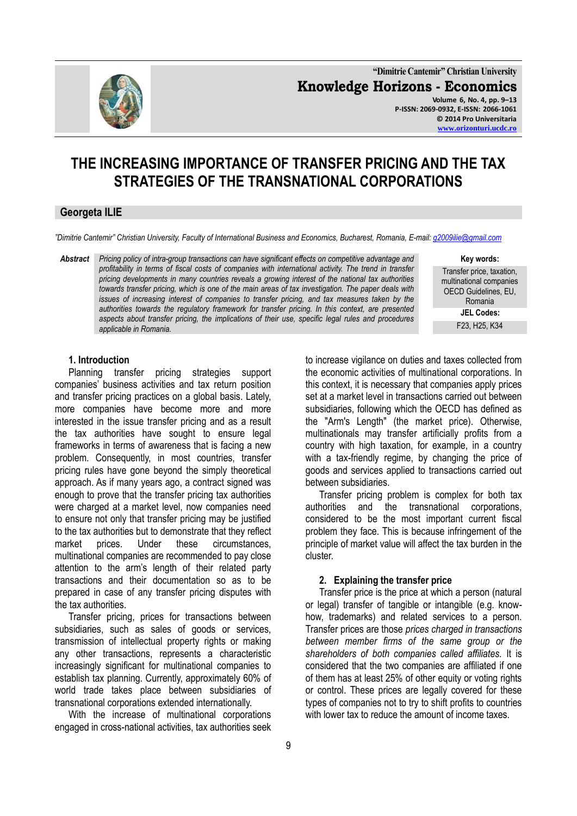

**"Dimitrie Cantemir" Christian University Knowledge Horizons - Economics Volume 6, No. 4, pp. 9–13 P-ISSN: 2069-0932, E-ISSN: 2066-1061 © 2014 Pro Universitaria**

**[www.orizonturi.ucdc.ro](http://www.orizonturi.ucdc.ro/)**

# **THE INCREASING IMPORTANCE OF TRANSFER PRICING AND THE TAX STRATEGIES OF THE TRANSNATIONAL CORPORATIONS**

### **Georgeta ILIE**

*"Dimitrie Cantemir" Christian University, Faculty of International Business and Economics, Bucharest, Romania, E-mail: [g2009ilie@gmail.com](mailto:g2009ilie@gmail.com)*

*Abstract Pricing policy of intra-group transactions can have significant effects on competitive advantage and profitability in terms of fiscal costs of companies with international activity. The trend in transfer pricing developments in many countries reveals a growing interest of the national tax authorities towards transfer pricing, which is one of the main areas of tax investigation. The paper deals with issues of increasing interest of companies to transfer pricing, and tax measures taken by the authorities towards the regulatory framework for transfer pricing. In this context, are presented aspects about transfer pricing, the implications of their use, specific legal rules and procedures applicable in Romania.*

**Key words:** 

Transfer price, taxation, multinational companies OECD Guidelines, EU, Romania **JEL Codes:** F23, H25, K34

#### **1. Introduction**

Planning transfer pricing strategies support companies' business activities and tax return position and transfer pricing practices on a global basis. Lately, more companies have become more and more interested in the issue transfer pricing and as a result the tax authorities have sought to ensure legal frameworks in terms of awareness that is facing a new problem. Consequently, in most countries, transfer pricing rules have gone beyond the simply theoretical approach. As if many years ago, a contract signed was enough to prove that the transfer pricing tax authorities were charged at a market level, now companies need to ensure not only that transfer pricing may be justified to the tax authorities but to demonstrate that they reflect market prices. Under these circumstances, multinational companies are recommended to pay close attention to the arm's length of their related party transactions and their documentation so as to be prepared in case of any transfer pricing disputes with the tax authorities.

Transfer pricing, prices for transactions between subsidiaries, such as sales of goods or services, transmission of intellectual property rights or making any other transactions, represents a characteristic increasingly significant for multinational companies to establish tax planning. Currently, approximately 60% of world trade takes place between subsidiaries of transnational corporations extended internationally.

With the increase of multinational corporations engaged in cross-national activities, tax authorities seek to increase vigilance on duties and taxes collected from the economic activities of multinational corporations. In this context, it is necessary that companies apply prices set at a market level in transactions carried out between subsidiaries, following which the OECD has defined as the "Arm's Length" (the market price). Otherwise, multinationals may transfer artificially profits from a country with high taxation, for example, in a country with a tax-friendly regime, by changing the price of goods and services applied to transactions carried out between subsidiaries.

Transfer pricing problem is complex for both tax authorities and the transnational corporations, considered to be the most important current fiscal problem they face. This is because infringement of the principle of market value will affect the tax burden in the cluster.

#### **2. Explaining the transfer price**

Transfer price is the price at which a person (natural or legal) transfer of tangible or intangible (e.g. knowhow, trademarks) and related services to a person. Transfer prices are those *prices charged in transactions between member firms of the same group or the shareholders of both companies called affiliates.* It is considered that the two companies are affiliated if one of them has at least 25% of other equity or voting rights or control. These prices are legally covered for these types of companies not to try to shift profits to countries with lower tax to reduce the amount of income taxes.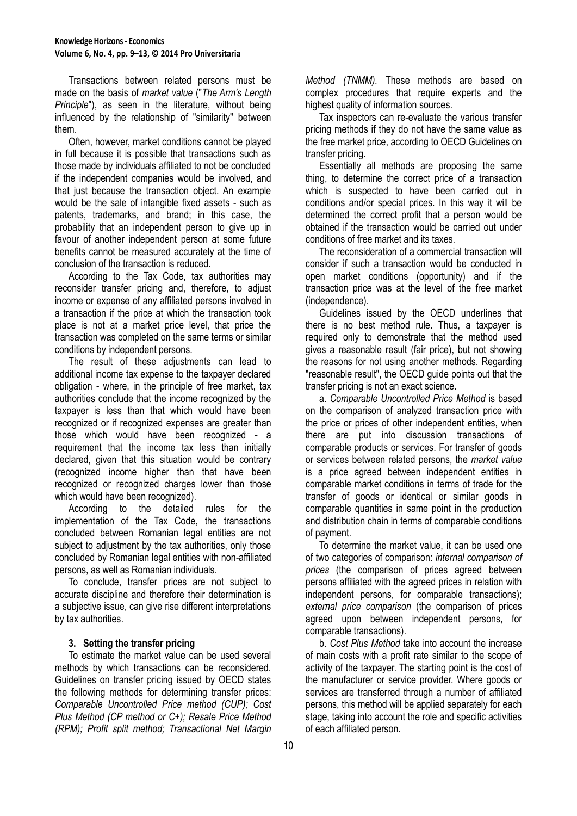Transactions between related persons must be made on the basis of *market value* ("*The Arm's Length Principle*"), as seen in the literature, without being influenced by the relationship of "similarity" between them.

Often, however, market conditions cannot be played in full because it is possible that transactions such as those made by individuals affiliated to not be concluded if the independent companies would be involved, and that just because the transaction object. An example would be the sale of intangible fixed assets - such as patents, trademarks, and brand; in this case, the probability that an independent person to give up in favour of another independent person at some future benefits cannot be measured accurately at the time of conclusion of the transaction is reduced.

According to the Tax Code, tax authorities may reconsider transfer pricing and, therefore, to adjust income or expense of any affiliated persons involved in a transaction if the price at which the transaction took place is not at a market price level, that price the transaction was completed on the same terms or similar conditions by independent persons.

The result of these adjustments can lead to additional income tax expense to the taxpayer declared obligation - where, in the principle of free market, tax authorities conclude that the income recognized by the taxpayer is less than that which would have been recognized or if recognized expenses are greater than those which would have been recognized - a requirement that the income tax less than initially declared, given that this situation would be contrary (recognized income higher than that have been recognized or recognized charges lower than those which would have been recognized).

According to the detailed rules for the implementation of the Tax Code, the transactions concluded between Romanian legal entities are not subject to adjustment by the tax authorities, only those concluded by Romanian legal entities with non-affiliated persons, as well as Romanian individuals.

To conclude, transfer prices are not subject to accurate discipline and therefore their determination is a subjective issue, can give rise different interpretations by tax authorities.

# **3. Setting the transfer pricing**

To estimate the market value can be used several methods by which transactions can be reconsidered. Guidelines on transfer pricing issued by OECD states the following methods for determining transfer prices: *Comparable Uncontrolled Price method (CUP); Cost Plus Method (CP method or C+); Resale Price Method (RPM); Profit split method; Transactional Net Margin*  *Method (TNMM).* These methods are based on complex procedures that require experts and the highest quality of information sources.

Tax inspectors can re-evaluate the various transfer pricing methods if they do not have the same value as the free market price, according to OECD Guidelines on transfer pricing.

Essentially all methods are proposing the same thing, to determine the correct price of a transaction which is suspected to have been carried out in conditions and/or special prices. In this way it will be determined the correct profit that a person would be obtained if the transaction would be carried out under conditions of free market and its taxes.

The reconsideration of a commercial transaction will consider if such a transaction would be conducted in open market conditions (opportunity) and if the transaction price was at the level of the free market (independence).

Guidelines issued by the OECD underlines that there is no best method rule. Thus, a taxpayer is required only to demonstrate that the method used gives a reasonable result (fair price), but not showing the reasons for not using another methods. Regarding "reasonable result", the OECD guide points out that the transfer pricing is not an exact science.

a. *Comparable Uncontrolled Price Method* is based on the comparison of analyzed transaction price with the price or prices of other independent entities, when there are put into discussion transactions of comparable products or services. For transfer of goods or services between related persons, the *market value* is a price agreed between independent entities in comparable market conditions in terms of trade for the transfer of goods or identical or similar goods in comparable quantities in same point in the production and distribution chain in terms of comparable conditions of payment.

To determine the market value, it can be used one of two categories of comparison: *internal comparison of prices* (the comparison of prices agreed between persons affiliated with the agreed prices in relation with independent persons, for comparable transactions); *external price comparison* (the comparison of prices agreed upon between independent persons, for comparable transactions).

b. *Cost Plus Method* take into account the increase of main costs with a profit rate similar to the scope of activity of the taxpayer. The starting point is the cost of the manufacturer or service provider. Where goods or services are transferred through a number of affiliated persons, this method will be applied separately for each stage, taking into account the role and specific activities of each affiliated person.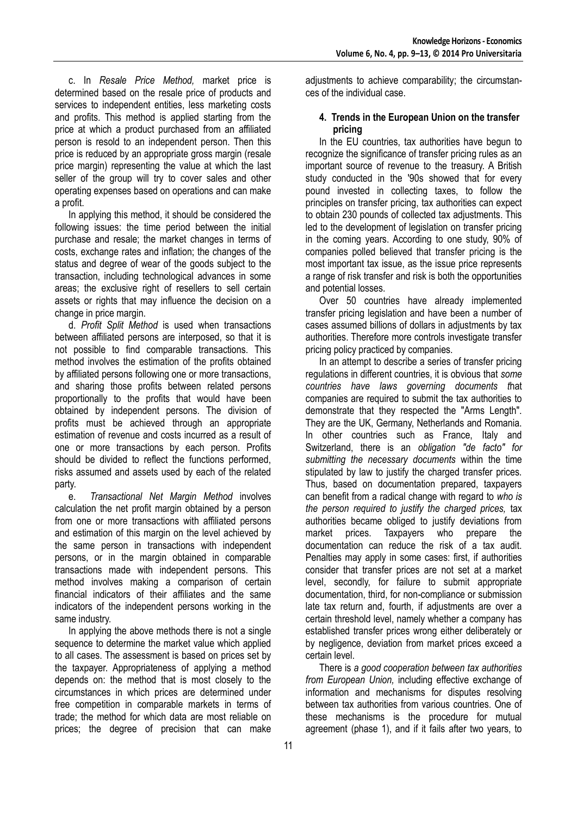c. In *Resale Price Method,* market price is determined based on the resale price of products and services to independent entities, less marketing costs and profits. This method is applied starting from the price at which a product purchased from an affiliated person is resold to an independent person. Then this price is reduced by an appropriate gross margin (resale price margin) representing the value at which the last seller of the group will try to cover sales and other operating expenses based on operations and can make a profit.

In applying this method, it should be considered the following issues: the time period between the initial purchase and resale; the market changes in terms of costs, exchange rates and inflation; the changes of the status and degree of wear of the goods subject to the transaction, including technological advances in some areas; the exclusive right of resellers to sell certain assets or rights that may influence the decision on a change in price margin.

d. *Profit Split Method* is used when transactions between affiliated persons are interposed, so that it is not possible to find comparable transactions. This method involves the estimation of the profits obtained by affiliated persons following one or more transactions, and sharing those profits between related persons proportionally to the profits that would have been obtained by independent persons. The division of profits must be achieved through an appropriate estimation of revenue and costs incurred as a result of one or more transactions by each person. Profits should be divided to reflect the functions performed, risks assumed and assets used by each of the related party.

e. *Transactional Net Margin Method* involves calculation the net profit margin obtained by a person from one or more transactions with affiliated persons and estimation of this margin on the level achieved by the same person in transactions with independent persons, or in the margin obtained in comparable transactions made with independent persons. This method involves making a comparison of certain financial indicators of their affiliates and the same indicators of the independent persons working in the same industry.

In applying the above methods there is not a single sequence to determine the market value which applied to all cases. The assessment is based on prices set by the taxpayer. Appropriateness of applying a method depends on: the method that is most closely to the circumstances in which prices are determined under free competition in comparable markets in terms of trade; the method for which data are most reliable on prices; the degree of precision that can make

adjustments to achieve comparability; the circumstances of the individual case.

# **4. Trends in the European Union on the transfer pricing**

In the EU countries, tax authorities have begun to recognize the significance of transfer pricing rules as an important source of revenue to the treasury. A British study conducted in the '90s showed that for every pound invested in collecting taxes, to follow the principles on transfer pricing, tax authorities can expect to obtain 230 pounds of collected tax adjustments. This led to the development of legislation on transfer pricing in the coming years. According to one study, 90% of companies polled believed that transfer pricing is the most important tax issue, as the issue price represents a range of risk transfer and risk is both the opportunities and potential losses.

Over 50 countries have already implemented transfer pricing legislation and have been a number of cases assumed billions of dollars in adjustments by tax authorities. Therefore more controls investigate transfer pricing policy practiced by companies.

In an attempt to describe a series of transfer pricing regulations in different countries, it is obvious that *some countries have laws governing documents t*hat companies are required to submit the tax authorities to demonstrate that they respected the "Arms Length". They are the UK, Germany, Netherlands and Romania. In other countries such as France, Italy and Switzerland, there is an *obligation "de facto" for submitting the necessary documents* within the time stipulated by law to justify the charged transfer prices. Thus, based on documentation prepared, taxpayers can benefit from a radical change with regard to *who is the person required to justify the charged prices,* tax authorities became obliged to justify deviations from market prices. Taxpayers who prepare the documentation can reduce the risk of a tax audit. Penalties may apply in some cases: first, if authorities consider that transfer prices are not set at a market level, secondly, for failure to submit appropriate documentation, third, for non-compliance or submission late tax return and, fourth, if adjustments are over a certain threshold level, namely whether a company has established transfer prices wrong either deliberately or by negligence, deviation from market prices exceed a certain level.

There is *a good cooperation between tax authorities from European Union,* including effective exchange of information and mechanisms for disputes resolving between tax authorities from various countries. One of these mechanisms is the procedure for mutual agreement (phase 1), and if it fails after two years, to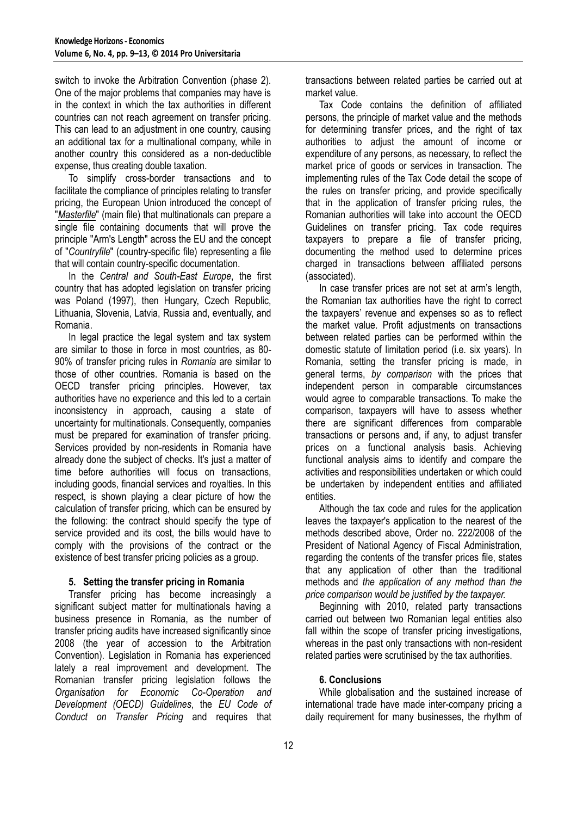switch to invoke the Arbitration Convention (phase 2). One of the major problems that companies may have is in the context in which the tax authorities in different countries can not reach agreement on transfer pricing. This can lead to an adjustment in one country, causing an additional tax for a multinational company, while in another country this considered as a non-deductible expense, thus creating double taxation.

To simplify cross-border transactions and to facilitate the compliance of principles relating to transfer pricing, the European Union introduced the concept of "*Masterfile*" (main file) that multinationals can prepare a single file containing documents that will prove the principle "Arm's Length" across the EU and the concept of "*Countryfile*" (country-specific file) representing a file that will contain country-specific documentation.

In the *Central and South-East Europe*, the first country that has adopted legislation on transfer pricing was Poland (1997), then Hungary, Czech Republic, Lithuania, Slovenia, Latvia, Russia and, eventually, and Romania.

In legal practice the legal system and tax system are similar to those in force in most countries, as 80- 90% of transfer pricing rules in *Romania* are similar to those of other countries. Romania is based on the OECD transfer pricing principles. However, tax authorities have no experience and this led to a certain inconsistency in approach, causing a state of uncertainty for multinationals. Consequently, companies must be prepared for examination of transfer pricing. Services provided by non-residents in Romania have already done the subject of checks. It's just a matter of time before authorities will focus on transactions, including goods, financial services and royalties. In this respect, is shown playing a clear picture of how the calculation of transfer pricing, which can be ensured by the following: the contract should specify the type of service provided and its cost, the bills would have to comply with the provisions of the contract or the existence of best transfer pricing policies as a group.

#### **5. Setting the transfer pricing in Romania**

Transfer pricing has become increasingly a significant subject matter for multinationals having a business presence in Romania, as the number of transfer pricing audits have increased significantly since 2008 (the year of accession to the Arbitration Convention). Legislation in Romania has experienced lately a real improvement and development. The Romanian transfer pricing legislation follows the *Organisation for Economic Co-Operation and Development (OECD) Guidelines*, the *EU Code of Conduct on Transfer Pricing* and requires that transactions between related parties be carried out at market value.

Tax Code contains the definition of affiliated persons, the principle of market value and the methods for determining transfer prices, and the right of tax authorities to adjust the amount of income or expenditure of any persons, as necessary, to reflect the market price of goods or services in transaction. The implementing rules of the Tax Code detail the scope of the rules on transfer pricing, and provide specifically that in the application of transfer pricing rules, the Romanian authorities will take into account the OECD Guidelines on transfer pricing. Tax code requires taxpayers to prepare a file of transfer pricing, documenting the method used to determine prices charged in transactions between affiliated persons (associated).

In case transfer prices are not set at arm's length, the Romanian tax authorities have the right to correct the taxpayers' revenue and expenses so as to reflect the market value. Profit adjustments on transactions between related parties can be performed within the domestic statute of limitation period (i.e. six years). In Romania, setting the transfer pricing is made, in general terms, *by comparison* with the prices that independent person in comparable circumstances would agree to comparable transactions. To make the comparison, taxpayers will have to assess whether there are significant differences from comparable transactions or persons and, if any, to adjust transfer prices on a functional analysis basis. Achieving functional analysis aims to identify and compare the activities and responsibilities undertaken or which could be undertaken by independent entities and affiliated entities.

Although the tax code and rules for the application leaves the taxpayer's application to the nearest of the methods described above, Order no. 222/2008 of the President of National Agency of Fiscal Administration, regarding the contents of the transfer prices file, states that any application of other than the traditional methods and *the application of any method than the price comparison would be justified by the taxpayer.*

Beginning with 2010, related party transactions carried out between two Romanian legal entities also fall within the scope of transfer pricing investigations, whereas in the past only transactions with non-resident related parties were scrutinised by the tax authorities.

# **6. Conclusions**

While globalisation and the sustained increase of international trade have made inter-company pricing a daily requirement for many businesses, the rhythm of